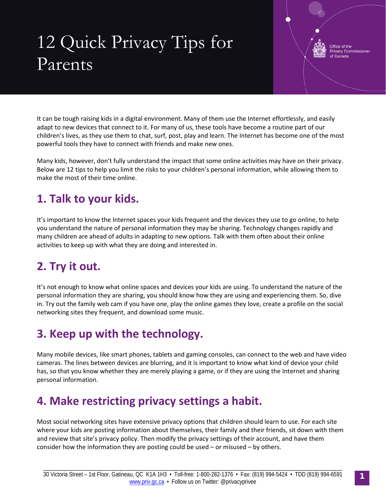# 12 Quick Privacy Tips for Parents

Office of the **Privacy Commissione** Canada

It can be tough raising kids in a digital environment. Many of them use the Internet effortlessly, and easily adapt to new devices that connect to it. For many of us, these tools have become a routine part of our children's lives, as they use them to chat, surf, post, play and learn. The Internet has become one of the most powerful tools they have to connect with friends and make new ones.

Many kids, however, don't fully understand the impact that some online activities may have on their privacy. Below are 12 tips to help you limit the risks to your children's personal information, while allowing them to make the most of their time online.

## **1. Talk to your kids.**

It's important to know the Internet spaces your kids frequent and the devices they use to go online, to help you understand the nature of personal information they may be sharing. Technology changes rapidly and many children are ahead of adults in adapting to new options. Talk with them often about their online activities to keep up with what they are doing and interested in.

## **2. Try it out.**

It's not enough to know what online spaces and devices your kids are using. To understand the nature of the personal information they are sharing, you should know how they are using and experiencing them. So, dive in. Try out the family web cam if you have one, play the online games they love, create a profile on the social networking sites they frequent, and download some music.

## **3. Keep up with the technology.**

Many mobile devices, like smart phones, tablets and gaming consoles, can connect to the web and have video cameras. The lines between devices are blurring, and it is important to know what kind of device your child has, so that you know whether they are merely playing a game, or if they are using the Internet and sharing personal information.

#### **4. Make restricting privacy settings a habit.**

Most social networking sites have extensive privacy options that children should learn to use. For each site where your kids are posting information about themselves, their family and their friends, sit down with them and review that site's privacy policy. Then modify the privacy settings of their account, and have them consider how the information they are posting could be used – or misused – by others.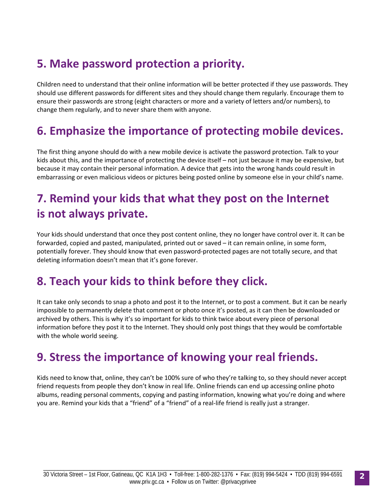## **5. Make password protection a priority.**

Children need to understand that their online information will be better protected if they use passwords. They should use different passwords for different sites and they should change them regularly. Encourage them to ensure their passwords are strong (eight characters or more and a variety of letters and/or numbers), to change them regularly, and to never share them with anyone.

#### **6. Emphasize the importance of protecting mobile devices.**

The first thing anyone should do with a new mobile device is activate the password protection. Talk to your kids about this, and the importance of protecting the device itself – not just because it may be expensive, but because it may contain their personal information. A device that gets into the wrong hands could result in embarrassing or even malicious videos or pictures being posted online by someone else in your child's name.

## **7. Remind your kids that what they post on the Internet is not always private.**

Your kids should understand that once they post content online, they no longer have control over it. It can be forwarded, copied and pasted, manipulated, printed out or saved – it can remain online, in some form, potentially forever. They should know that even password-protected pages are not totally secure, and that deleting information doesn't mean that it's gone forever.

#### **8. Teach your kids to think before they click.**

It can take only seconds to snap a photo and post it to the Internet, or to post a comment. But it can be nearly impossible to permanently delete that comment or photo once it's posted, as it can then be downloaded or archived by others. This is why it's so important for kids to think twice about every piece of personal information before they post it to the Internet. They should only post things that they would be comfortable with the whole world seeing.

#### **9. Stress the importance of knowing your real friends.**

Kids need to know that, online, they can't be 100% sure of who they're talking to, so they should never accept friend requests from people they don't know in real life. Online friends can end up accessing online photo albums, reading personal comments, copying and pasting information, knowing what you're doing and where you are. Remind your kids that a "friend" of a "friend" of a real-life friend is really just a stranger.